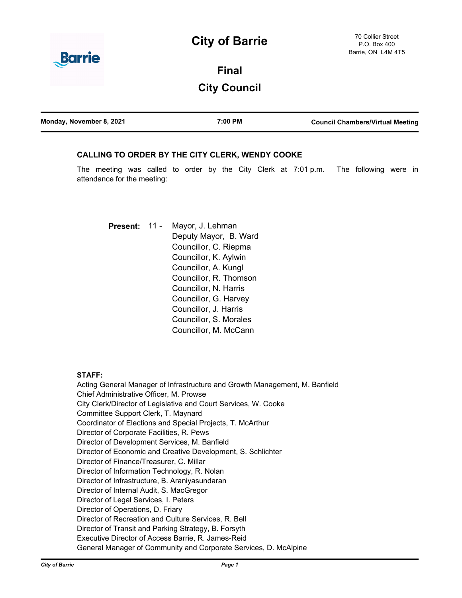## **City of Barrie**



# **Final City Council**

| Monday, November 8, 2021 | 7:00 PM | <b>Council Chambers/Virtual Meeting</b> |
|--------------------------|---------|-----------------------------------------|
|                          |         |                                         |

## **CALLING TO ORDER BY THE CITY CLERK, WENDY COOKE**

The meeting was called to order by the City Clerk at 7:01 p.m. The following were in attendance for the meeting:

Mayor, J. Lehman Deputy Mayor, B. Ward Councillor, C. Riepma Councillor, K. Aylwin Councillor, A. Kungl Councillor, R. Thomson Councillor, N. Harris Councillor, G. Harvey Councillor, J. Harris Councillor, S. Morales Councillor, M. McCann **Present:** 11 -

### **STAFF:**

Acting General Manager of Infrastructure and Growth Management, M. Banfield Chief Administrative Officer, M. Prowse City Clerk/Director of Legislative and Court Services, W. Cooke Committee Support Clerk, T. Maynard Coordinator of Elections and Special Projects, T. McArthur Director of Corporate Facilities, R. Pews Director of Development Services, M. Banfield Director of Economic and Creative Development, S. Schlichter Director of Finance/Treasurer, C. Millar Director of Information Technology, R. Nolan Director of Infrastructure, B. Araniyasundaran Director of Internal Audit, S. MacGregor Director of Legal Services, I. Peters Director of Operations, D. Friary Director of Recreation and Culture Services, R. Bell Director of Transit and Parking Strategy, B. Forsyth Executive Director of Access Barrie, R. James-Reid General Manager of Community and Corporate Services, D. McAlpine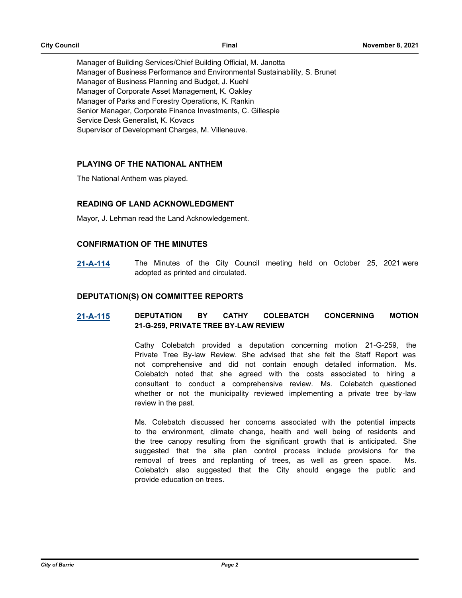Manager of Building Services/Chief Building Official, M. Janotta Manager of Business Performance and Environmental Sustainability, S. Brunet Manager of Business Planning and Budget, J. Kuehl Manager of Corporate Asset Management, K. Oakley Manager of Parks and Forestry Operations, K. Rankin Senior Manager, Corporate Finance Investments, C. Gillespie Service Desk Generalist, K. Kovacs Supervisor of Development Charges, M. Villeneuve.

## **PLAYING OF THE NATIONAL ANTHEM**

The National Anthem was played.

## **READING OF LAND ACKNOWLEDGMENT**

Mayor, J. Lehman read the Land Acknowledgement.

### **CONFIRMATION OF THE MINUTES**

**[21-A-114](http://barrie.ca.legistar.com/gateway.aspx?m=l&id=/matter.aspx?key=49678)** The Minutes of the City Council meeting held on October 25, 2021 were adopted as printed and circulated.

### **DEPUTATION(S) ON COMMITTEE REPORTS**

## **[21-A-115](http://barrie.ca.legistar.com/gateway.aspx?m=l&id=/matter.aspx?key=49695) DEPUTATION BY CATHY COLEBATCH CONCERNING MOTION 21-G-259, PRIVATE TREE BY-LAW REVIEW**

Cathy Colebatch provided a deputation concerning motion 21-G-259, the Private Tree By-law Review. She advised that she felt the Staff Report was not comprehensive and did not contain enough detailed information. Ms. Colebatch noted that she agreed with the costs associated to hiring a consultant to conduct a comprehensive review. Ms. Colebatch questioned whether or not the municipality reviewed implementing a private tree by-law review in the past.

Ms. Colebatch discussed her concerns associated with the potential impacts to the environment, climate change, health and well being of residents and the tree canopy resulting from the significant growth that is anticipated. She suggested that the site plan control process include provisions for the removal of trees and replanting of trees, as well as green space. Ms. Colebatch also suggested that the City should engage the public and provide education on trees.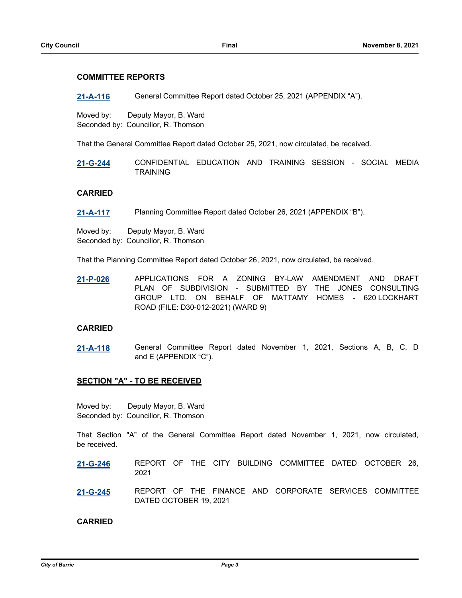### **COMMITTEE REPORTS**

**[21-A-116](http://barrie.ca.legistar.com/gateway.aspx?m=l&id=/matter.aspx?key=49679)** General Committee Report dated October 25, 2021 (APPENDIX "A").

Moved by: Deputy Mayor, B. Ward Seconded by: Councillor, R. Thomson

That the General Committee Report dated October 25, 2021, now circulated, be received.

**[21-G-244](http://barrie.ca.legistar.com/gateway.aspx?m=l&id=/matter.aspx?key=49486)** CONFIDENTIAL EDUCATION AND TRAINING SESSION - SOCIAL MEDIA TRAINING

### **CARRIED**

**[21-A-117](http://barrie.ca.legistar.com/gateway.aspx?m=l&id=/matter.aspx?key=49680)** Planning Committee Report dated October 26, 2021 (APPENDIX "B").

Moved by: Deputy Mayor, B. Ward Seconded by: Councillor, R. Thomson

That the Planning Committee Report dated October 26, 2021, now circulated, be received.

**[21-P-026](http://barrie.ca.legistar.com/gateway.aspx?m=l&id=/matter.aspx?key=49534)** APPLICATIONS FOR A ZONING BY-LAW AMENDMENT AND DRAFT PLAN OF SUBDIVISION - SUBMITTED BY THE JONES CONSULTING GROUP LTD. ON BEHALF OF MATTAMY HOMES - 620 LOCKHART ROAD (FILE: D30-012-2021) (WARD 9)

### **CARRIED**

**[21-A-118](http://barrie.ca.legistar.com/gateway.aspx?m=l&id=/matter.aspx?key=49681)** General Committee Report dated November 1, 2021, Sections A, B, C, D and E (APPENDIX "C").

### **SECTION "A" - TO BE RECEIVED**

Moved by: Deputy Mayor, B. Ward Seconded by: Councillor, R. Thomson

That Section "A" of the General Committee Report dated November 1, 2021, now circulated, be received.

- **[21-G-246](http://barrie.ca.legistar.com/gateway.aspx?m=l&id=/matter.aspx?key=49638)** REPORT OF THE CITY BUILDING COMMITTEE DATED OCTOBER 26, 2021
- **[21-G-245](http://barrie.ca.legistar.com/gateway.aspx?m=l&id=/matter.aspx?key=49647)** REPORT OF THE FINANCE AND CORPORATE SERVICES COMMITTEE DATED OCTOBER 19, 2021

### **CARRIED**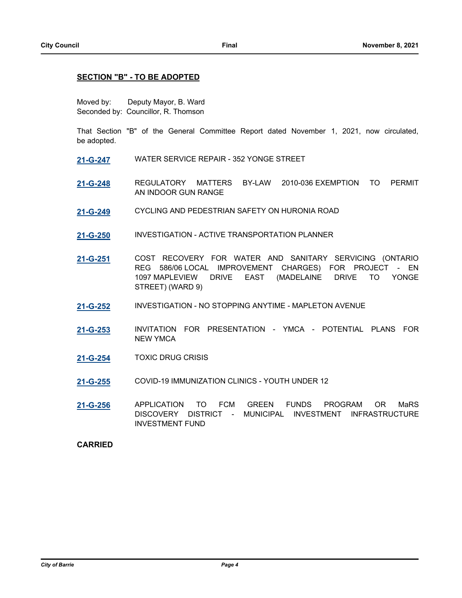### **SECTION "B" - TO BE ADOPTED**

Moved by: Deputy Mayor, B. Ward Seconded by: Councillor, R. Thomson

That Section "B" of the General Committee Report dated November 1, 2021, now circulated, be adopted.

- **[21-G-247](http://barrie.ca.legistar.com/gateway.aspx?m=l&id=/matter.aspx?key=49574)** WATER SERVICE REPAIR 352 YONGE STREET
- **[21-G-248](http://barrie.ca.legistar.com/gateway.aspx?m=l&id=/matter.aspx?key=49594)** REGULATORY MATTERS BY-LAW 2010-036 EXEMPTION TO PERMIT AN INDOOR GUN RANGE
- **[21-G-249](http://barrie.ca.legistar.com/gateway.aspx?m=l&id=/matter.aspx?key=49532)** CYCLING AND PEDESTRIAN SAFETY ON HURONIA ROAD
- **[21-G-250](http://barrie.ca.legistar.com/gateway.aspx?m=l&id=/matter.aspx?key=49533)** INVESTIGATION ACTIVE TRANSPORTATION PLANNER
- **[21-G-251](http://barrie.ca.legistar.com/gateway.aspx?m=l&id=/matter.aspx?key=49644)** COST RECOVERY FOR WATER AND SANITARY SERVICING (ONTARIO REG 586/06 LOCAL IMPROVEMENT CHARGES) FOR PROJECT - EN 1097 MAPLEVIEW DRIVE EAST (MADELAINE DRIVE TO YONGE STREET) (WARD 9)
- **[21-G-252](http://barrie.ca.legistar.com/gateway.aspx?m=l&id=/matter.aspx?key=49626)** INVESTIGATION NO STOPPING ANYTIME MAPLETON AVENUE
- **[21-G-253](http://barrie.ca.legistar.com/gateway.aspx?m=l&id=/matter.aspx?key=49627)** INVITATION FOR PRESENTATION YMCA POTENTIAL PLANS FOR NEW YMCA
- **[21-G-254](http://barrie.ca.legistar.com/gateway.aspx?m=l&id=/matter.aspx?key=49628)** TOXIC DRUG CRISIS
- **[21-G-255](http://barrie.ca.legistar.com/gateway.aspx?m=l&id=/matter.aspx?key=49651)** COVID-19 IMMUNIZATION CLINICS YOUTH UNDER 12
- **[21-G-256](http://barrie.ca.legistar.com/gateway.aspx?m=l&id=/matter.aspx?key=49650)** APPLICATION TO FCM GREEN FUNDS PROGRAM OR MaRS DISCOVERY DISTRICT - MUNICIPAL INVESTMENT INFRASTRUCTURE INVESTMENT FUND

### **CARRIED**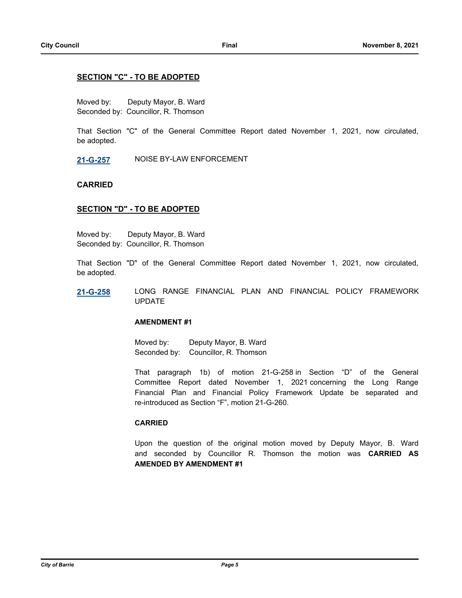### **SECTION "C" - TO BE ADOPTED**

Moved by: Deputy Mayor, B. Ward Seconded by: Councillor, R. Thomson

That Section "C" of the General Committee Report dated November 1, 2021, now circulated, be adopted.

**[21-G-257](http://barrie.ca.legistar.com/gateway.aspx?m=l&id=/matter.aspx?key=49363)** NOISE BY-LAW ENFORCEMENT

### **CARRIED**

### **SECTION "D" - TO BE ADOPTED**

Moved by: Deputy Mayor, B. Ward Seconded by: Councillor, R. Thomson

That Section "D" of the General Committee Report dated November 1, 2021, now circulated, be adopted.

**[21-G-258](http://barrie.ca.legistar.com/gateway.aspx?m=l&id=/matter.aspx?key=49623)** LONG RANGE FINANCIAL PLAN AND FINANCIAL POLICY FRAMEWORK UPDATE

### **AMENDMENT #1**

Moved by: Deputy Mayor, B. Ward Seconded by: Councillor, R. Thomson

That paragraph 1b) of motion 21-G-258 in Section "D" of the General Committee Report dated November 1, 2021 concerning the Long Range Financial Plan and Financial Policy Framework Update be separated and re-introduced as Section "F", motion 21-G-260.

### **CARRIED**

Upon the question of the original motion moved by Deputy Mayor, B. Ward and seconded by Councillor R. Thomson the motion was **CARRIED AS AMENDED BY AMENDMENT #1**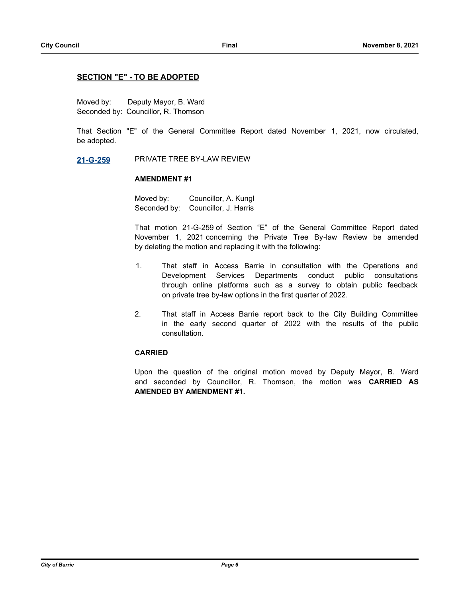### **SECTION "E" - TO BE ADOPTED**

Moved by: Deputy Mayor, B. Ward Seconded by: Councillor, R. Thomson

That Section "E" of the General Committee Report dated November 1, 2021, now circulated, be adopted.

### **[21-G-259](http://barrie.ca.legistar.com/gateway.aspx?m=l&id=/matter.aspx?key=49529)** PRIVATE TREE BY-LAW REVIEW

### **AMENDMENT #1**

Moved by: Councillor, A. Kungl Seconded by: Councillor, J. Harris

That motion 21-G-259 of Section "E" of the General Committee Report dated November 1, 2021 concerning the Private Tree By-law Review be amended by deleting the motion and replacing it with the following:

- 1. That staff in Access Barrie in consultation with the Operations and Development Services Departments conduct public consultations through online platforms such as a survey to obtain public feedback on private tree by-law options in the first quarter of 2022.
- 2. That staff in Access Barrie report back to the City Building Committee in the early second quarter of 2022 with the results of the public consultation.

### **CARRIED**

Upon the question of the original motion moved by Deputy Mayor, B. Ward and seconded by Councillor, R. Thomson, the motion was **CARRIED AS AMENDED BY AMENDMENT #1.**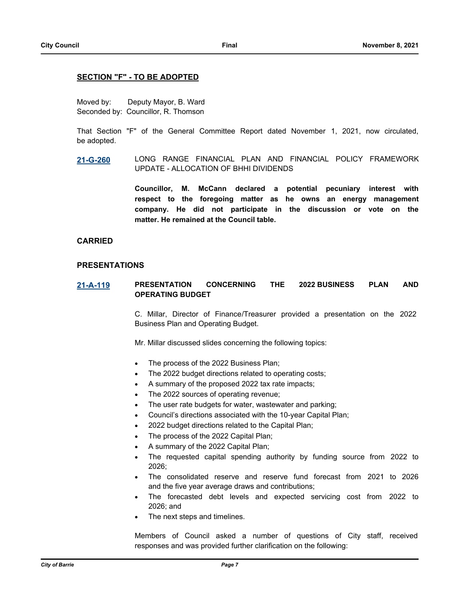### **SECTION "F" - TO BE ADOPTED**

Moved by: Deputy Mayor, B. Ward Seconded by: Councillor, R. Thomson

That Section "F" of the General Committee Report dated November 1, 2021, now circulated, be adopted.

**[21-G-260](http://barrie.ca.legistar.com/gateway.aspx?m=l&id=/matter.aspx?key=49736)** LONG RANGE FINANCIAL PLAN AND FINANCIAL POLICY FRAMEWORK UPDATE - ALLOCATION OF BHHI DIVIDENDS

> **Councillor, M. McCann declared a potential pecuniary interest with respect to the foregoing matter as he owns an energy management company. He did not participate in the discussion or vote on the matter. He remained at the Council table.**

### **CARRIED**

### **PRESENTATIONS**

## **[21-A-119](http://barrie.ca.legistar.com/gateway.aspx?m=l&id=/matter.aspx?key=49713) PRESENTATION CONCERNING THE 2022 BUSINESS PLAN AND OPERATING BUDGET**

C. Millar, Director of Finance/Treasurer provided a presentation on the 2022 Business Plan and Operating Budget.

Mr. Millar discussed slides concerning the following topics:

- · The process of the 2022 Business Plan;
- The 2022 budget directions related to operating costs;
- · A summary of the proposed 2022 tax rate impacts;
- The 2022 sources of operating revenue;
- The user rate budgets for water, wastewater and parking;
- · Council's directions associated with the 10-year Capital Plan;
- · 2022 budget directions related to the Capital Plan;
- The process of the 2022 Capital Plan;
- · A summary of the 2022 Capital Plan;
- The requested capital spending authority by funding source from 2022 to 2026;
- The consolidated reserve and reserve fund forecast from 2021 to 2026 and the five year average draws and contributions;
- The forecasted debt levels and expected servicing cost from 2022 to 2026; and
- The next steps and timelines.

Members of Council asked a number of questions of City staff, received responses and was provided further clarification on the following: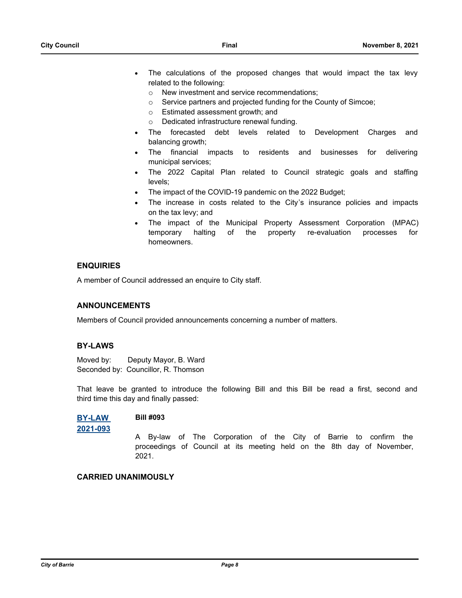- The calculations of the proposed changes that would impact the tax levy related to the following:
	- o New investment and service recommendations;
	- o Service partners and projected funding for the County of Simcoe;
	- o Estimated assessment growth; and
	- o Dedicated infrastructure renewal funding.
- The forecasted debt levels related to Development Charges and balancing growth;
- · The financial impacts to residents and businesses for delivering municipal services;
- · The 2022 Capital Plan related to Council strategic goals and staffing levels;
- The impact of the COVID-19 pandemic on the 2022 Budget;
- The increase in costs related to the City's insurance policies and impacts on the tax levy; and
- The impact of the Municipal Property Assessment Corporation (MPAC) temporary halting of the property re-evaluation processes for homeowners.

### **ENQUIRIES**

A member of Council addressed an enquire to City staff.

### **ANNOUNCEMENTS**

Members of Council provided announcements concerning a number of matters.

### **BY-LAWS**

Moved by: Deputy Mayor, B. Ward Seconded by: Councillor, R. Thomson

That leave be granted to introduce the following Bill and this Bill be read a first, second and third time this day and finally passed:

### **[BY-LAW](http://barrie.ca.legistar.com/gateway.aspx?m=l&id=/matter.aspx?key=49702)  Bill #093**

**2021-093**

A By-law of The Corporation of the City of Barrie to confirm the proceedings of Council at its meeting held on the 8th day of November, 2021.

### **CARRIED UNANIMOUSLY**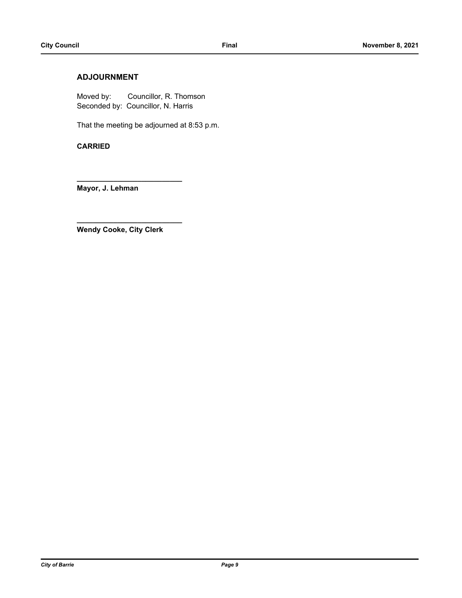## **ADJOURNMENT**

Moved by: Councillor, R. Thomson Seconded by: Councillor, N. Harris

That the meeting be adjourned at 8:53 p.m.

**CARRIED** 

**Mayor, J. Lehman** 

**Wendy Cooke, City Clerk**

**\_\_\_\_\_\_\_\_\_\_\_\_\_\_\_\_\_\_\_\_\_\_\_\_\_\_**

**\_\_\_\_\_\_\_\_\_\_\_\_\_\_\_\_\_\_\_\_\_\_\_\_\_\_**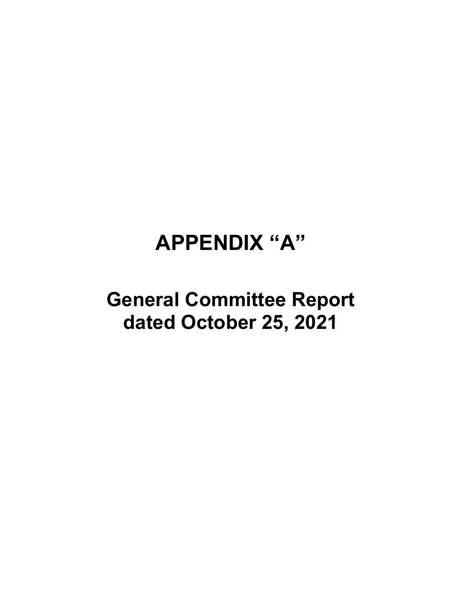# **APPENDIX "A"**

# **General Committee Report dated October 25, 2021**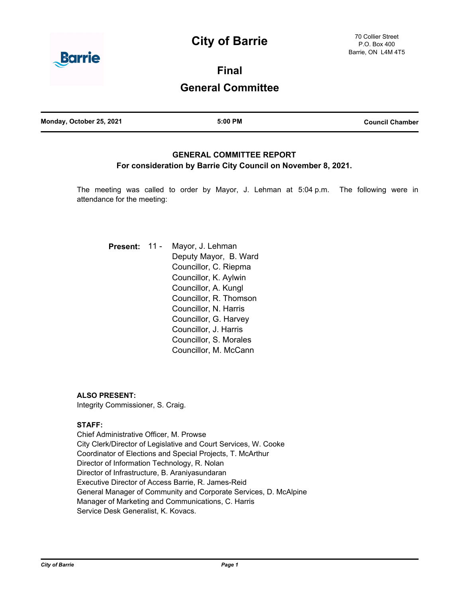## **City of Barrie**



**Final**

## **General Committee**

| Monday, October 25, 2021 | 5:00 PM | <b>Council Chamber</b> |
|--------------------------|---------|------------------------|
|                          |         |                        |

## **GENERAL COMMITTEE REPORT For consideration by Barrie City Council on November 8, 2021.**

The meeting was called to order by Mayor, J. Lehman at 5:04 p.m. The following were in attendance for the meeting:

| <b>Present:</b> | $11 -$ | Mayor, J. Lehman<br>Deputy Mayor, B. Ward<br>Councillor, C. Riepma<br>Councillor, K. Aylwin |
|-----------------|--------|---------------------------------------------------------------------------------------------|
|                 |        | Councillor, A. Kungl                                                                        |
|                 |        | Councillor, R. Thomson                                                                      |
|                 |        | Councillor, N. Harris                                                                       |
|                 |        | Councillor, G. Harvey                                                                       |
|                 |        | Councillor, J. Harris                                                                       |
|                 |        | Councillor, S. Morales                                                                      |
|                 |        | Councillor, M. McCann                                                                       |

**ALSO PRESENT:**

Integrity Commissioner, S. Craig.

## **STAFF:**

Chief Administrative Officer, M. Prowse City Clerk/Director of Legislative and Court Services, W. Cooke Coordinator of Elections and Special Projects, T. McArthur Director of Information Technology, R. Nolan Director of Infrastructure, B. Araniyasundaran Executive Director of Access Barrie, R. James-Reid General Manager of Community and Corporate Services, D. McAlpine Manager of Marketing and Communications, C. Harris Service Desk Generalist, K. Kovacs.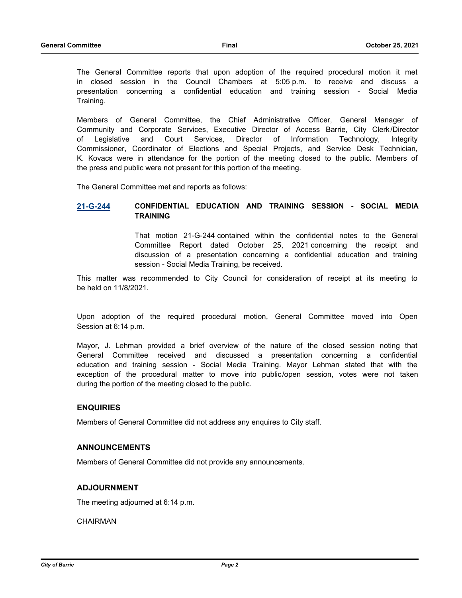The General Committee reports that upon adoption of the required procedural motion it met in closed session in the Council Chambers at 5:05 p.m. to receive and discuss a presentation concerning a confidential education and training session - Social Media Training.

Members of General Committee, the Chief Administrative Officer, General Manager of Community and Corporate Services, Executive Director of Access Barrie, City Clerk/Director of Legislative and Court Services, Director of Information Technology, Integrity Commissioner, Coordinator of Elections and Special Projects, and Service Desk Technician, K. Kovacs were in attendance for the portion of the meeting closed to the public. Members of the press and public were not present for this portion of the meeting.

The General Committee met and reports as follows:

## **21-G-244 CONFIDENTIAL EDUCATION AND TRAINING SESSION - SOCIAL MEDIA TRAINING**

That motion 21-G-244 contained within the confidential notes to the General Committee Report dated October 25, 2021 concerning the receipt and discussion of a presentation concerning a confidential education and training session - Social Media Training, be received.

This matter was recommended to City Council for consideration of receipt at its meeting to be held on 11/8/2021.

Upon adoption of the required procedural motion, General Committee moved into Open Session at 6:14 p.m.

Mayor, J. Lehman provided a brief overview of the nature of the closed session noting that General Committee received and discussed a presentation concerning a confidential education and training session - Social Media Training. Mayor Lehman stated that with the exception of the procedural matter to move into public/open session, votes were not taken during the portion of the meeting closed to the public.

### **ENQUIRIES**

Members of General Committee did not address any enquires to City staff.

### **ANNOUNCEMENTS**

Members of General Committee did not provide any announcements.

### **ADJOURNMENT**

The meeting adjourned at 6:14 p.m.

**CHAIRMAN**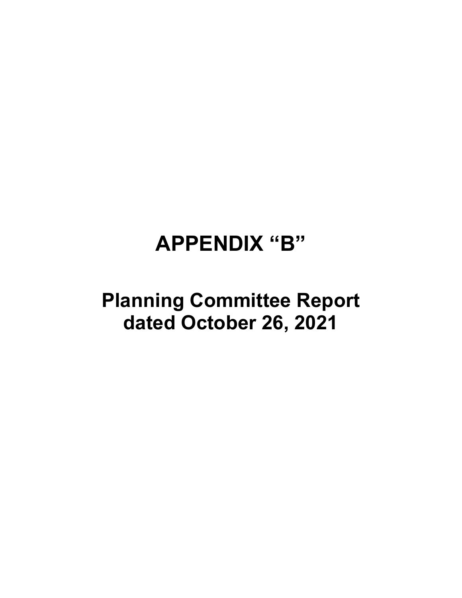# **APPENDIX "B"**

# **Planning Committee Report dated October 26, 2021**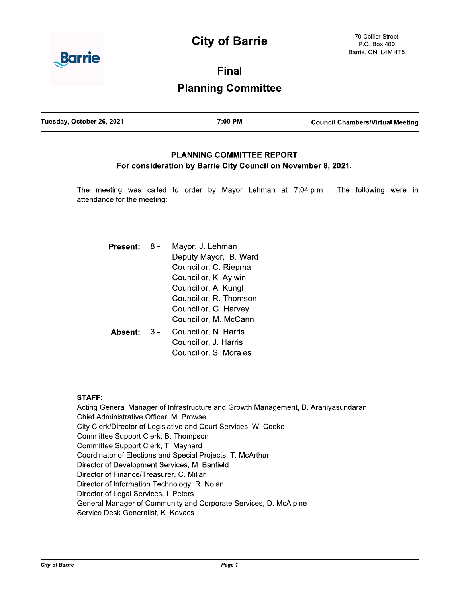## **City of Barrie**



**Final Planning Committee** 

| Tuesday, October 26, 2021 | 7:00 PM | <b>Council Chambers/Virtual Meeting</b> |
|---------------------------|---------|-----------------------------------------|
|                           |         |                                         |

## **PLANNING COMMITTEE REPORT** For consideration by Barrie City Council on November 8, 2021.

The meeting was called to order by Mayor Lehman at 7:04 p.m. The following were in attendance for the meeting:

| Present: | Mayor, J. Lehman<br>Deputy Mayor, B. Ward<br>Councillor, C. Riepma<br>Councillor, K. Aylwin      |
|----------|--------------------------------------------------------------------------------------------------|
|          | Councillor, A. Kungl<br>Councillor, R. Thomson<br>Councillor, G. Harvey<br>Councillor, M. McCann |
| Absent:  | Councillor, N. Harris<br>Councillor, J. Harris<br>Councillor, S. Morales                         |

### **STAFF:**

Acting General Manager of Infrastructure and Growth Management, B. Araniyasundaran Chief Administrative Officer, M. Prowse City Clerk/Director of Legislative and Court Services, W. Cooke Committee Support Clerk, B. Thompson Committee Support Clerk, T. Maynard Coordinator of Elections and Special Projects, T. McArthur Director of Development Services, M. Banfield Director of Finance/Treasurer, C. Millar Director of Information Technology, R. Nolan Director of Legal Services, I. Peters General Manager of Community and Corporate Services, D. McAlpine Service Desk Generalist, K. Kovacs.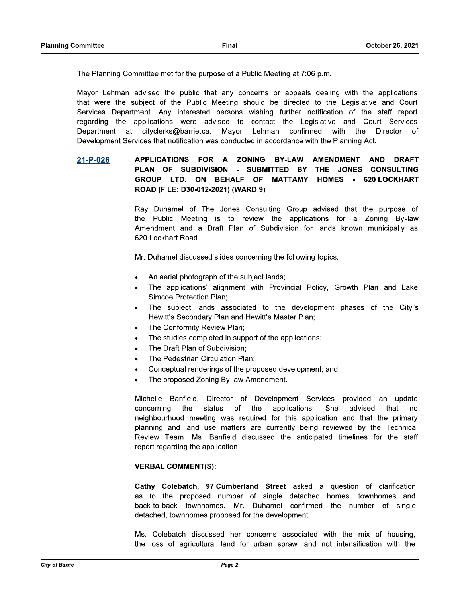The Planning Committee met for the purpose of a Public Meeting at 7:06 p.m.

Mayor Lehman advised the public that any concerns or appeals dealing with the applications that were the subject of the Public Meeting should be directed to the Legislative and Court Services Department. Any interested persons wishing further notification of the staff report regarding the applications were advised to contact the Legislative and Court Services Department at cityclerks@barrie.ca. Mayor Lehman confirmed with the Director of Development Services that notification was conducted in accordance with the Planning Act.

#### APPLICATIONS FOR A **ZONING BY-LAW AMENDMENT AND DRAFT** 21-P-026 PLAN OF SUBDIVISION - SUBMITTED BY THE JONES CONSULTING GROUP LTD. ON BEHALF OF **MATTAMY HOMES** - 620 LOCKHART ROAD (FILE: D30-012-2021) (WARD 9)

Ray Duhamel of The Jones Consulting Group advised that the purpose of the Public Meeting is to review the applications for a Zoning By-law Amendment and a Draft Plan of Subdivision for lands known municipally as 620 Lockhart Road.

Mr. Duhamel discussed slides concerning the following topics:

- An aerial photograph of the subject lands;  $\bullet$
- The applications' alignment with Provincial Policy, Growth Plan and Lake **Simcoe Protection Plan:**
- The subject lands associated to the development phases of the City's Hewitt's Secondary Plan and Hewitt's Master Plan;
- The Conformity Review Plan;  $\bullet$
- The studies completed in support of the applications;
- The Draft Plan of Subdivision;
- The Pedestrian Circulation Plan:
- Conceptual renderings of the proposed development; and
- The proposed Zoning By-law Amendment.  $\bullet$

Michelle Banfield. Director of Development Services provided an update status the applications. She concerning the of advised that no neighbourhood meeting was required for this application and that the primary planning and land use matters are currently being reviewed by the Technical Review Team. Ms. Banfield discussed the anticipated timelines for the staff report regarding the application.

### **VERBAL COMMENT(S):**

Cathy Colebatch, 97 Cumberland Street asked a question of clarification as to the proposed number of single detached homes, townhomes and back-to-back townhomes. Mr. Duhamel confirmed the number of single detached, townhomes proposed for the development.

Ms. Colebatch discussed her concerns associated with the mix of housing, the loss of agricultural land for urban sprawl and not intensification with the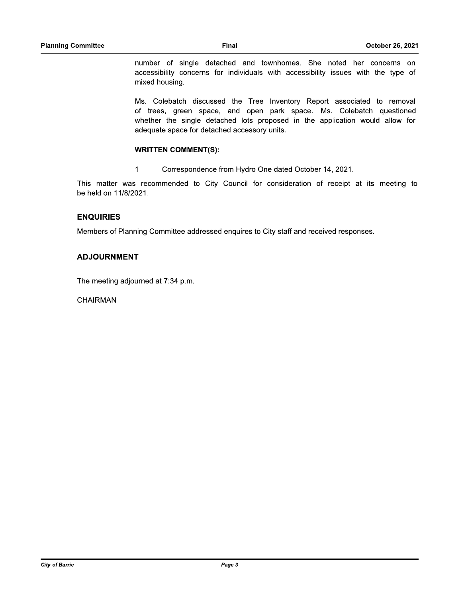number of single detached and townhomes. She noted her concerns on accessibility concerns for individuals with accessibility issues with the type of mixed housing.

Ms. Colebatch discussed the Tree Inventory Report associated to removal of trees, green space, and open park space. Ms. Colebatch questioned whether the single detached lots proposed in the application would allow for adequate space for detached accessory units.

## **WRITTEN COMMENT(S):**

 $1.$ Correspondence from Hydro One dated October 14, 2021.

This matter was recommended to City Council for consideration of receipt at its meeting to be held on 11/8/2021.

### **ENQUIRIES**

Members of Planning Committee addressed enquires to City staff and received responses.

### **ADJOURNMENT**

The meeting adjourned at 7:34 p.m.

**CHAIRMAN**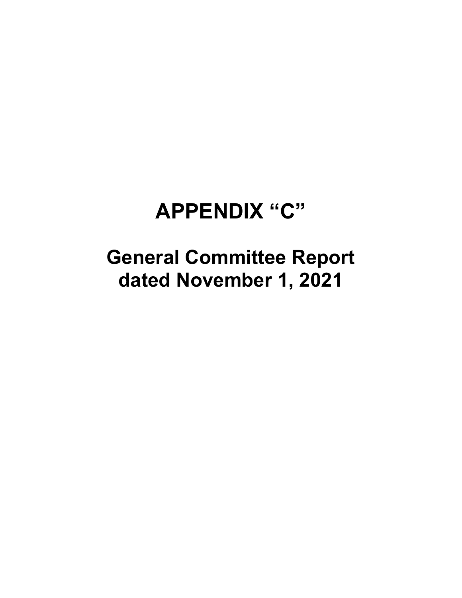# **APPENDIX "C"**

**General Committee Report dated November 1, 2021**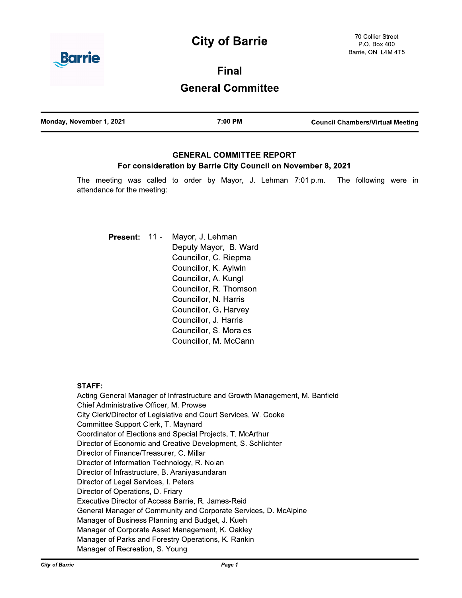## **City of Barrie**



**Final General Committee** 

| Monday, November 1, 2021 | 7:00 PM | <b>Council Chambers/Virtual Meeting</b> |
|--------------------------|---------|-----------------------------------------|
|                          |         |                                         |

## **GENERAL COMMITTEE REPORT** For consideration by Barrie City Council on November 8, 2021

The meeting was called to order by Mayor, J. Lehman 7:01 p.m. The following were in attendance for the meeting:

Mayor, J. Lehman Present: 11 -Deputy Mayor, B. Ward Councillor, C. Riepma Councillor, K. Aylwin Councillor, A. Kungl Councillor, R. Thomson Councillor, N. Harris Councillor, G. Harvey Councillor, J. Harris Councillor, S. Morales Councillor, M. McCann

## **STAFF:**

Acting General Manager of Infrastructure and Growth Management, M. Banfield Chief Administrative Officer, M. Prowse City Clerk/Director of Legislative and Court Services, W. Cooke Committee Support Clerk, T. Maynard Coordinator of Elections and Special Projects, T. McArthur Director of Economic and Creative Development, S. Schlichter Director of Finance/Treasurer, C. Millar Director of Information Technology, R. Nolan Director of Infrastructure, B. Araniyasundaran Director of Legal Services, I. Peters Director of Operations, D. Friary Executive Director of Access Barrie, R. James-Reid General Manager of Community and Corporate Services, D. McAlpine Manager of Business Planning and Budget, J. Kuehl Manager of Corporate Asset Management, K. Oakley Manager of Parks and Forestry Operations, K. Rankin Manager of Recreation, S. Young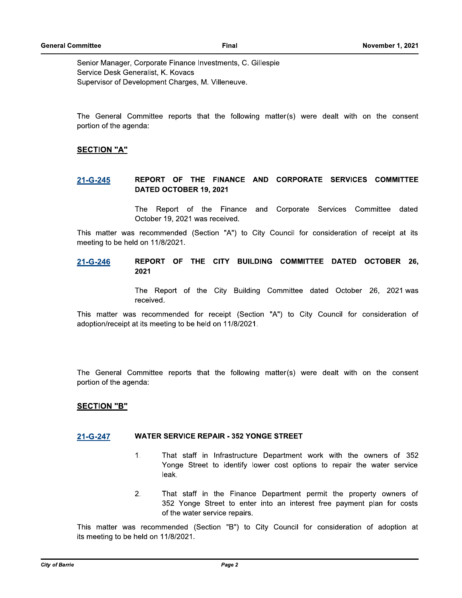Senior Manager, Corporate Finance Investments, C. Gillespie Service Desk Generalist, K. Kovacs Supervisor of Development Charges, M. Villeneuve.

The General Committee reports that the following matter(s) were dealt with on the consent portion of the agenda:

### **SECTION "A"**

### REPORT OF THE FINANCE AND CORPORATE SERVICES COMMITTEE 21-G-245 DATED OCTOBER 19, 2021

The Report of the Finance and Corporate Services Committee dated October 19, 2021 was received.

This matter was recommended (Section "A") to City Council for consideration of receipt at its meeting to be held on 11/8/2021.

REPORT OF THE CITY BUILDING COMMITTEE DATED OCTOBER 26, 21-G-246 2021

> The Report of the City Building Committee dated October 26, 2021 was received.

This matter was recommended for receipt (Section "A") to City Council for consideration of adoption/receipt at its meeting to be held on 11/8/2021.

The General Committee reports that the following matter(s) were dealt with on the consent portion of the agenda:

### **SECTION "B"**

### **WATER SERVICE REPAIR - 352 YONGE STREET** 21-G-247

- 1. That staff in Infrastructure Department work with the owners of 352 Yonge Street to identify lower cost options to repair the water service leak.
- $2.$ That staff in the Finance Department permit the property owners of 352 Yonge Street to enter into an interest free payment plan for costs of the water service repairs.

This matter was recommended (Section "B") to City Council for consideration of adoption at its meeting to be held on 11/8/2021.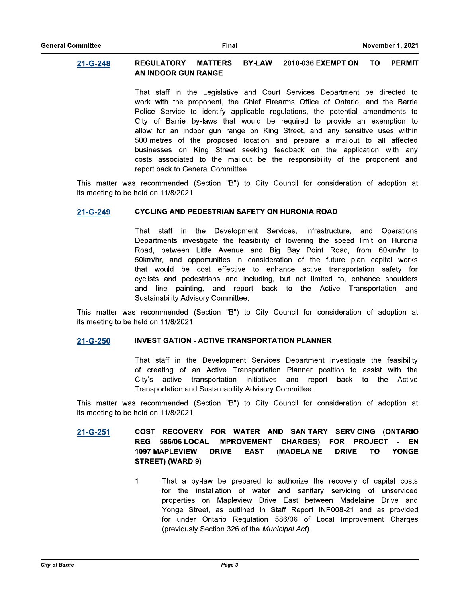#### **BY-LAW REGULATORY MATTERS 2010-036 EXEMPTION TO PERMIT** 21-G-248 AN INDOOR GUN RANGE

That staff in the Legislative and Court Services Department be directed to work with the proponent, the Chief Firearms Office of Ontario, and the Barrie Police Service to identify applicable regulations, the potential amendments to City of Barrie by-laws that would be required to provide an exemption to allow for an indoor gun range on King Street, and any sensitive uses within 500 metres of the proposed location and prepare a mailout to all affected businesses on King Street seeking feedback on the application with any costs associated to the mailout be the responsibility of the proponent and report back to General Committee.

This matter was recommended (Section "B") to City Council for consideration of adoption at its meeting to be held on 11/8/2021.

### **CYCLING AND PEDESTRIAN SAFETY ON HURONIA ROAD** 21-G-249

That staff in the Development Services, Infrastructure, and Operations Departments investigate the feasibility of lowering the speed limit on Huronia Road, between Little Avenue and Big Bay Point Road, from 60km/hr to 50km/hr, and opportunities in consideration of the future plan capital works that would be cost effective to enhance active transportation safety for cyclists and pedestrians and including, but not limited to, enhance shoulders and line painting, and report back to the Active Transportation and Sustainability Advisory Committee.

This matter was recommended (Section "B") to City Council for consideration of adoption at its meeting to be held on 11/8/2021.

### **INVESTIGATION - ACTIVE TRANSPORTATION PLANNER** 21-G-250

That staff in the Development Services Department investigate the feasibility of creating of an Active Transportation Planner position to assist with the City's active transportation initiatives and report back to the Active Transportation and Sustainability Advisory Committee.

This matter was recommended (Section "B") to City Council for consideration of adoption at its meeting to be held on 11/8/2021.

#### COST RECOVERY FOR WATER AND SANITARY SERVICING (ONTARIO  $21 - G - 251$ REG 586/06 LOCAL IMPROVEMENT CHARGES) FOR PROJECT -**EN 1097 MAPLEVIEW DRIVE EAST** (MADELAINE **DRIVE TO YONGE** STREET) (WARD 9)

 $1.$ That a by-law be prepared to authorize the recovery of capital costs for the installation of water and sanitary servicing of unserviced properties on Mapleview Drive East between Madelaine Drive and Yonge Street, as outlined in Staff Report INF008-21 and as provided for under Ontario Regulation 586/06 of Local Improvement Charges (previously Section 326 of the Municipal Act).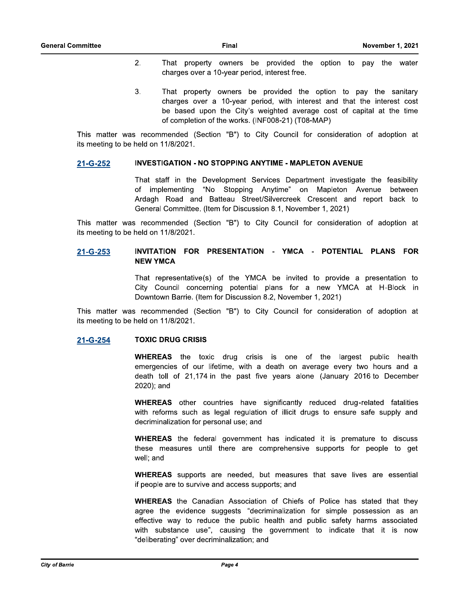- $2.$ That property owners be provided the option to pay the water charges over a 10-year period, interest free.
- 3. That property owners be provided the option to pay the sanitary charges over a 10-year period, with interest and that the interest cost be based upon the City's weighted average cost of capital at the time of completion of the works. (INF008-21) (T08-MAP)

This matter was recommended (Section "B") to City Council for consideration of adoption at its meeting to be held on 11/8/2021.

### **INVESTIGATION - NO STOPPING ANYTIME - MAPLETON AVENUE** 21-G-252

That staff in the Development Services Department investigate the feasibility of implementing "No Stopping Anytime" on Mapleton Avenue between Ardagh Road and Batteau Street/Silvercreek Crescent and report back to General Committee. (Item for Discussion 8.1, November 1, 2021)

This matter was recommended (Section "B") to City Council for consideration of adoption at its meeting to be held on 11/8/2021.

### 21-G-253 INVITATION FOR PRESENTATION - YMCA - POTENTIAL PLANS FOR **NEW YMCA**

That representative(s) of the YMCA be invited to provide a presentation to City Council concerning potential plans for a new YMCA at H-Block in Downtown Barrie. (Item for Discussion 8.2, November 1, 2021)

This matter was recommended (Section "B") to City Council for consideration of adoption at its meeting to be held on 11/8/2021.

### **TOXIC DRUG CRISIS** 21-G-254

**WHEREAS** the toxic drug crisis is one of the largest public health emergencies of our lifetime, with a death on average every two hours and a death toll of 21,174 in the past five years alone (January 2016 to December 2020); and

**WHEREAS** other countries have significantly reduced drug-related fatalities with reforms such as legal regulation of illicit drugs to ensure safe supply and decriminalization for personal use; and

**WHEREAS** the federal government has indicated it is premature to discuss these measures until there are comprehensive supports for people to get well; and

WHEREAS supports are needed, but measures that save lives are essential if people are to survive and access supports; and

**WHEREAS** the Canadian Association of Chiefs of Police has stated that they agree the evidence suggests "decriminalization for simple possession as an effective way to reduce the public health and public safety harms associated with substance use", causing the government to indicate that it is now "deliberating" over decriminalization; and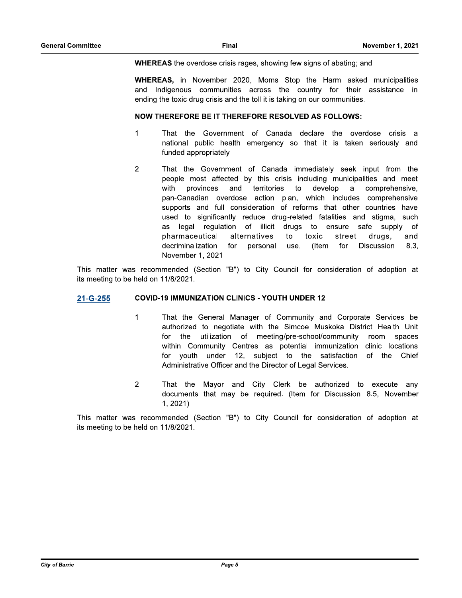**WHEREAS** the overdose crisis rages, showing few signs of abating; and

WHEREAS, in November 2020, Moms Stop the Harm asked municipalities and Indigenous communities across the country for their assistance in ending the toxic drug crisis and the toll it is taking on our communities.

### **NOW THEREFORE BE IT THEREFORE RESOLVED AS FOLLOWS:**

- That the Government of Canada declare the overdose crisis a 1. national public health emergency so that it is taken seriously and funded appropriately
- $2.$ That the Government of Canada immediately seek input from the people most affected by this crisis including municipalities and meet provinces and territories to develop  $\mathsf{a}$ with comprehensive. pan-Canadian overdose action plan, which includes comprehensive supports and full consideration of reforms that other countries have used to significantly reduce drug-related fatalities and stigma, such as legal regulation of illicit drugs to ensure safe supply 0f pharmaceutical alternatives to toxic street drugs, and decriminalization for personal use. (Item for Discussion 8.3. November 1, 2021

This matter was recommended (Section "B") to City Council for consideration of adoption at its meeting to be held on 11/8/2021.

### **COVID-19 IMMUNIZATION CLINICS - YOUTH UNDER 12** 21-G-255

- That the General Manager of Community and Corporate Services be  $\mathbf{1}$ . authorized to negotiate with the Simcoe Muskoka District Health Unit for the utilization of meeting/pre-school/community room spaces within Community Centres as potential immunization clinic locations for youth under 12, subject to the satisfaction of the Chief Administrative Officer and the Director of Legal Services.
- $2.$ That the Mayor and City Clerk be authorized to execute any documents that may be required. (Item for Discussion 8.5, November  $1, 2021$

This matter was recommended (Section "B") to City Council for consideration of adoption at its meeting to be held on 11/8/2021.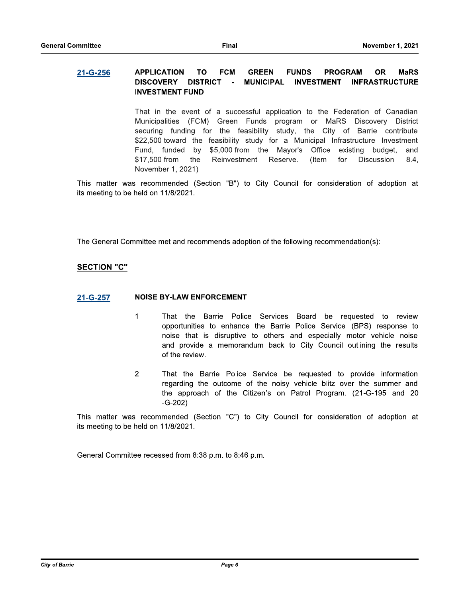#### **APPLICATION TO FCM GREEN FUNDS PROGRAM OR MaRS** 21-G-256 **DISCOVERY DISTRICT**  $\sim$ **MUNICIPAL INVESTMENT INFRASTRUCTURE INVESTMENT FUND**

That in the event of a successful application to the Federation of Canadian Municipalities (FCM) Green Funds program or MaRS Discovery District securing funding for the feasibility study, the City of Barrie contribute \$22,500 toward the feasibility study for a Municipal Infrastructure Investment Fund, funded by \$5,000 from the Mayor's Office existing budget, and \$17,500 from the Reinvestment Reserve. (Item for **Discussion** 8.4. November 1, 2021)

This matter was recommended (Section "B") to City Council for consideration of adoption at its meeting to be held on 11/8/2021.

The General Committee met and recommends adoption of the following recommendation(s):

## **SECTION "C"**

### **NOISE BY-LAW ENFORCEMENT** 21-G-257

- $1.$ That the Barrie Police Services Board be requested to review opportunities to enhance the Barrie Police Service (BPS) response to noise that is disruptive to others and especially motor vehicle noise and provide a memorandum back to City Council outlining the results of the review.
- $2.$ That the Barrie Police Service be requested to provide information regarding the outcome of the noisy vehicle blitz over the summer and the approach of the Citizen's on Patrol Program. (21-G-195 and 20  $-G-202)$

This matter was recommended (Section "C") to City Council for consideration of adoption at its meeting to be held on 11/8/2021.

General Committee recessed from 8:38 p.m. to 8:46 p.m.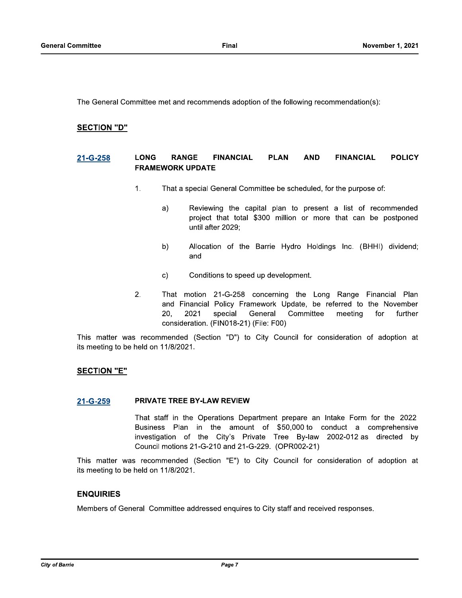The General Committee met and recommends adoption of the following recommendation(s):

### **SECTION "D"**

#### **LONG RANGE FINANCIAL PLAN AND FINANCIAL POLICY** 21-G-258 **FRAMEWORK UPDATE**

- That a special General Committee be scheduled, for the purpose of:  $\mathbf{1}$ .
	- Reviewing the capital plan to present a list of recommended  $a)$ project that total \$300 million or more that can be postponed until after 2029;
	- Allocation of the Barrie Hydro Holdings Inc. (BHHI) dividend;  $b)$ and
	- Conditions to speed up development.  $\mathbf{C}$
- 2. That motion 21-G-258 concerning the Long Range Financial Plan and Financial Policy Framework Update, be referred to the November  $20.$ 2021 special General Committee meeting for further consideration. (FIN018-21) (File: F00)

This matter was recommended (Section "D") to City Council for consideration of adoption at its meeting to be held on 11/8/2021.

### **SECTION "E"**

### **PRIVATE TREE BY-LAW REVIEW** 21-G-259

That staff in the Operations Department prepare an Intake Form for the 2022 Business Plan in the amount of \$50,000 to conduct a comprehensive investigation of the City's Private Tree By-law 2002-012 as directed by Council motions 21-G-210 and 21-G-229. (OPR002-21)

This matter was recommended (Section "E") to City Council for consideration of adoption at its meeting to be held on 11/8/2021.

### **ENQUIRIES**

Members of General Committee addressed enguires to City staff and received responses.